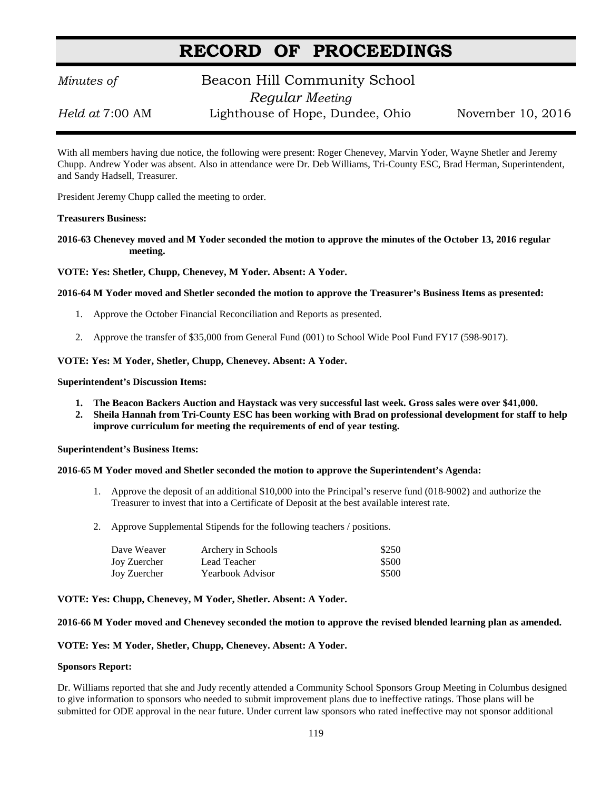# **RECORD OF PROCEEDINGS**

## *Minutes of* **Beacon Hill Community School**  *Regular Meeting*

*Held at* 7:00 AM Lighthouse of Hope, Dundee, Ohio November 10, 2016

With all members having due notice, the following were present: Roger Chenevey, Marvin Yoder, Wayne Shetler and Jeremy Chupp. Andrew Yoder was absent. Also in attendance were Dr. Deb Williams, Tri-County ESC, Brad Herman, Superintendent, and Sandy Hadsell, Treasurer.

President Jeremy Chupp called the meeting to order.

#### **Treasurers Business:**

**2016-63 Chenevey moved and M Yoder seconded the motion to approve the minutes of the October 13, 2016 regular meeting.**

**VOTE: Yes: Shetler, Chupp, Chenevey, M Yoder. Absent: A Yoder.**

#### **2016-64 M Yoder moved and Shetler seconded the motion to approve the Treasurer's Business Items as presented:**

- 1. Approve the October Financial Reconciliation and Reports as presented.
- 2. Approve the transfer of \$35,000 from General Fund (001) to School Wide Pool Fund FY17 (598-9017).

#### **VOTE: Yes: M Yoder, Shetler, Chupp, Chenevey. Absent: A Yoder.**

#### **Superintendent's Discussion Items:**

- **1. The Beacon Backers Auction and Haystack was very successful last week. Gross sales were over \$41,000.**
- **2. Sheila Hannah from Tri-County ESC has been working with Brad on professional development for staff to help improve curriculum for meeting the requirements of end of year testing.**

#### **Superintendent's Business Items:**

#### **2016-65 M Yoder moved and Shetler seconded the motion to approve the Superintendent's Agenda:**

- 1. Approve the deposit of an additional \$10,000 into the Principal's reserve fund (018-9002) and authorize the Treasurer to invest that into a Certificate of Deposit at the best available interest rate.
- 2. Approve Supplemental Stipends for the following teachers / positions.

| Dave Weaver  | Archery in Schools      | \$250 |
|--------------|-------------------------|-------|
| Joy Zuercher | Lead Teacher            | \$500 |
| Joy Zuercher | <b>Yearbook Advisor</b> | \$500 |

#### **VOTE: Yes: Chupp, Chenevey, M Yoder, Shetler. Absent: A Yoder.**

#### **2016-66 M Yoder moved and Chenevey seconded the motion to approve the revised blended learning plan as amended.**

#### **VOTE: Yes: M Yoder, Shetler, Chupp, Chenevey. Absent: A Yoder.**

#### **Sponsors Report:**

Dr. Williams reported that she and Judy recently attended a Community School Sponsors Group Meeting in Columbus designed to give information to sponsors who needed to submit improvement plans due to ineffective ratings. Those plans will be submitted for ODE approval in the near future. Under current law sponsors who rated ineffective may not sponsor additional